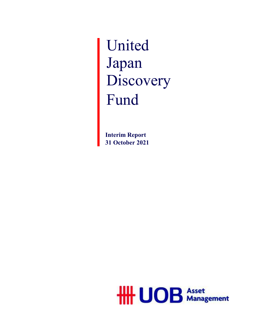United Japan Discovery Fund

**Interim Report 31 October 2021**

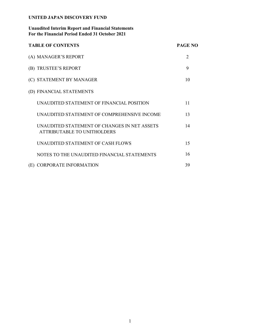## **Unaudited Interim Report and Financial Statements For the Financial Period Ended 31 October 2021**

| <b>TABLE OF CONTENTS</b>                                                    | <b>PAGE NO</b> |
|-----------------------------------------------------------------------------|----------------|
| (A) MANAGER'S REPORT                                                        | $\overline{2}$ |
| (B) TRUSTEE'S REPORT                                                        | 9              |
| (C) STATEMENT BY MANAGER                                                    | 10             |
| (D) FINANCIAL STATEMENTS                                                    |                |
| UNAUDITED STATEMENT OF FINANCIAL POSITION                                   | 11             |
| UNAUDITED STATEMENT OF COMPREHENSIVE INCOME                                 | 13             |
| UNAUDITED STATEMENT OF CHANGES IN NET ASSETS<br>ATTRIBUTABLE TO UNITHOLDERS | 14             |
| UNAUDITED STATEMENT OF CASH FLOWS                                           | 15             |
| NOTES TO THE UNAUDITED FINANCIAL STATEMENTS                                 | 16             |
| (E) CORPORATE INFORMATION                                                   | 39             |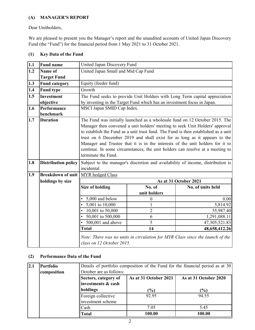## **(A) MANAGER'S REPORT**

Dear Unitholders,

We are pleased to present you the Manager's report and the unaudited accounts of United Japan Discovery Fund (the "Fund") for the financial period from 1 May 2021 to 31 October 2021.

| 1.1 | <b>Fund name</b>             | United Japan Discovery Fund                                                                                                                                                                                                                                                                                                                                                                                                                                                                                             |              |                                                                               |  |  |
|-----|------------------------------|-------------------------------------------------------------------------------------------------------------------------------------------------------------------------------------------------------------------------------------------------------------------------------------------------------------------------------------------------------------------------------------------------------------------------------------------------------------------------------------------------------------------------|--------------|-------------------------------------------------------------------------------|--|--|
| 1.2 | Name of                      | United Japan Small and Mid Cap Fund                                                                                                                                                                                                                                                                                                                                                                                                                                                                                     |              |                                                                               |  |  |
|     | <b>Target Fund</b>           |                                                                                                                                                                                                                                                                                                                                                                                                                                                                                                                         |              |                                                                               |  |  |
| 1.3 | <b>Fund category</b>         | Equity (feeder fund)                                                                                                                                                                                                                                                                                                                                                                                                                                                                                                    |              |                                                                               |  |  |
| 1.4 | <b>Fund type</b>             | Growth                                                                                                                                                                                                                                                                                                                                                                                                                                                                                                                  |              |                                                                               |  |  |
| 1.5 | <b>Investment</b>            |                                                                                                                                                                                                                                                                                                                                                                                                                                                                                                                         |              | The Fund seeks to provide Unit Holders with Long Term capital appreciation    |  |  |
|     | objective                    | by investing in the Target Fund which has an investment focus in Japan.                                                                                                                                                                                                                                                                                                                                                                                                                                                 |              |                                                                               |  |  |
| 1.6 | Performance                  | MSCI Japan SMID Cap Index.                                                                                                                                                                                                                                                                                                                                                                                                                                                                                              |              |                                                                               |  |  |
| 1.7 | benchmark<br><b>Duration</b> |                                                                                                                                                                                                                                                                                                                                                                                                                                                                                                                         |              |                                                                               |  |  |
|     |                              | The Fund was initially launched as a wholesale fund on 12 October 2015. The<br>Manager then convened a unit holders' meeting to seek Unit Holders' approval<br>to establish the Fund as a unit trust fund. The Fund is then established as a unit<br>trust on 6 December 2019 and shall exist for as long as it appears to the<br>Manager and Trustee that it is in the interests of the unit holders for it to<br>continue. In some circumstances, the unit holders can resolve at a meeting to<br>terminate the Fund. |              |                                                                               |  |  |
| 1.8 | <b>Distribution policy</b>   | Subject to the manager's discretion and availability of income, distribution is<br>incidental.                                                                                                                                                                                                                                                                                                                                                                                                                          |              |                                                                               |  |  |
| 1.9 | <b>Breakdown of unit</b>     | MYR hedged Class                                                                                                                                                                                                                                                                                                                                                                                                                                                                                                        |              |                                                                               |  |  |
|     | holdings by size             |                                                                                                                                                                                                                                                                                                                                                                                                                                                                                                                         |              | As at 31 October 2021                                                         |  |  |
|     |                              | <b>Size of holding</b>                                                                                                                                                                                                                                                                                                                                                                                                                                                                                                  | No. of       | No. of units held                                                             |  |  |
|     |                              |                                                                                                                                                                                                                                                                                                                                                                                                                                                                                                                         | unit holders |                                                                               |  |  |
|     |                              | 5,000 and below                                                                                                                                                                                                                                                                                                                                                                                                                                                                                                         | 0            | 0.00                                                                          |  |  |
|     |                              | $\overline{5,814.92}$<br>• $5,001$ to $10,000$<br>$\mathbf{1}$                                                                                                                                                                                                                                                                                                                                                                                                                                                          |              |                                                                               |  |  |
|     |                              | 10,001 to $50,000$<br>$\overline{2}$<br>55,987.40                                                                                                                                                                                                                                                                                                                                                                                                                                                                       |              |                                                                               |  |  |
|     |                              | • $50,001$ to $500,000$<br>6<br>1,291,088.11                                                                                                                                                                                                                                                                                                                                                                                                                                                                            |              |                                                                               |  |  |
|     |                              | 5<br>• 500,001 and above<br>47,305,521.83                                                                                                                                                                                                                                                                                                                                                                                                                                                                               |              |                                                                               |  |  |
|     |                              | <b>Total</b><br>14<br>48,658,412.26                                                                                                                                                                                                                                                                                                                                                                                                                                                                                     |              |                                                                               |  |  |
|     |                              | class on 12 October 2015.                                                                                                                                                                                                                                                                                                                                                                                                                                                                                               |              | Note: There was no units in circulation for MYR Class since the launch of the |  |  |

## **(1) Key Data of the Fund**

## **(2) Performance Data of the Fund**

| 2.1 | <b>Portfolio</b> | Details of portfolio composition of the Fund for the financial period as at 30 |                                                |        |  |  |  |  |
|-----|------------------|--------------------------------------------------------------------------------|------------------------------------------------|--------|--|--|--|--|
|     | composition      | October are as follows:                                                        |                                                |        |  |  |  |  |
|     |                  | Sectors, category of                                                           | As at 31 October 2021<br>As at 31 October 2020 |        |  |  |  |  |
|     |                  | linvestments & cash                                                            |                                                |        |  |  |  |  |
|     |                  | holdings<br>(%)<br>(%)                                                         |                                                |        |  |  |  |  |
|     |                  | Foreign collective                                                             | 92.95                                          | 94.55  |  |  |  |  |
|     |                  | investment scheme                                                              |                                                |        |  |  |  |  |
|     |                  | Cash                                                                           | 7.05                                           | 5.45   |  |  |  |  |
|     |                  | Total                                                                          | 100.00                                         | 100.00 |  |  |  |  |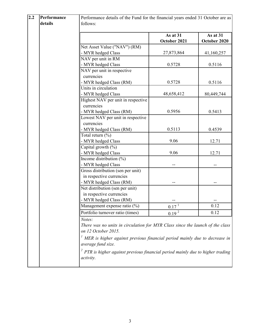| 2.2 | Performance | Performance details of the Fund for the financial years ended 31 October are as         |                   |              |
|-----|-------------|-----------------------------------------------------------------------------------------|-------------------|--------------|
|     | details     | follows:                                                                                |                   |              |
|     |             |                                                                                         |                   |              |
|     |             |                                                                                         | As at 31          | As at 31     |
|     |             |                                                                                         | October 2021      | October 2020 |
|     |             | Net Asset Value ("NAV") (RM)                                                            |                   |              |
|     |             | - MYR hedged Class                                                                      | 27,873,864        | 41,160,257   |
|     |             | NAV per unit in RM                                                                      |                   |              |
|     |             | - MYR hedged Class                                                                      | 0.5728            | 0.5116       |
|     |             | NAV per unit in respective                                                              |                   |              |
|     |             | currencies                                                                              |                   |              |
|     |             | - MYR hedged Class (RM)                                                                 | 0.5728            | 0.5116       |
|     |             | Units in circulation                                                                    |                   |              |
|     |             | - MYR hedged Class                                                                      | 48,658,412        | 80,449,744   |
|     |             | Highest NAV per unit in respective                                                      |                   |              |
|     |             | currencies                                                                              |                   |              |
|     |             | - MYR hedged Class (RM)                                                                 | 0.5956            | 0.5413       |
|     |             | Lowest NAV per unit in respective                                                       |                   |              |
|     |             | currencies                                                                              |                   |              |
|     |             | - MYR hedged Class (RM)                                                                 | 0.5113            | 0.4539       |
|     |             | Total return $(\%)$                                                                     |                   |              |
|     |             | - MYR hedged Class                                                                      | 9.06              | 12.71        |
|     |             | Capital growth $(\%)$                                                                   |                   |              |
|     |             | - MYR hedged Class                                                                      | 9.06              | 12.71        |
|     |             | Income distribution (%)                                                                 |                   |              |
|     |             | - MYR hedged Class                                                                      |                   |              |
|     |             | Gross distribution (sen per unit)                                                       |                   |              |
|     |             | in respective currencies                                                                |                   |              |
|     |             | - MYR hedged Class (RM)                                                                 |                   |              |
|     |             | Net distribution (sen per unit)                                                         |                   |              |
|     |             | in respective currencies                                                                |                   |              |
|     |             | - MYR hedged Class (RM)                                                                 |                   |              |
|     |             | Management expense ratio (%)                                                            | $0.17^{1}$        | 0.12         |
|     |             | Portfolio turnover ratio (times)                                                        | 0.19 <sup>2</sup> | 0.12         |
|     |             | Notes:                                                                                  |                   |              |
|     |             | There was no units in circulation for MYR Class since the launch of the class           |                   |              |
|     |             | on 12 October 2015.                                                                     |                   |              |
|     |             | $\frac{1}{1}$ MER is higher against previous financial period mainly due to decrease in |                   |              |
|     |             | average fund size.                                                                      |                   |              |
|     |             | $2$ PTR is higher against previous financial period mainly due to higher trading        |                   |              |
|     |             | activity.                                                                               |                   |              |
|     |             |                                                                                         |                   |              |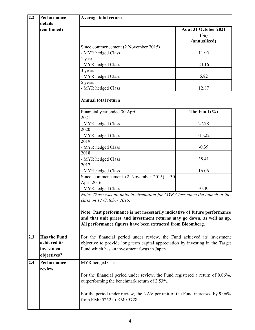| 2.2 | Performance<br>details | <b>Average total return</b>                                                                                                                           |                       |  |  |
|-----|------------------------|-------------------------------------------------------------------------------------------------------------------------------------------------------|-----------------------|--|--|
|     | (continued)            |                                                                                                                                                       | As at 31 October 2021 |  |  |
|     |                        |                                                                                                                                                       | (%)                   |  |  |
|     |                        |                                                                                                                                                       | (annualized)          |  |  |
|     |                        | Since commencement (2 November 2015)                                                                                                                  |                       |  |  |
|     |                        | - MYR hedged Class                                                                                                                                    | 11.05                 |  |  |
|     |                        | 1 year                                                                                                                                                |                       |  |  |
|     |                        | - MYR hedged Class                                                                                                                                    | 23.16                 |  |  |
|     |                        | 3 years                                                                                                                                               |                       |  |  |
|     |                        | - MYR hedged Class                                                                                                                                    | 6.82                  |  |  |
|     |                        | 5 years                                                                                                                                               | 12.87                 |  |  |
|     |                        | - MYR hedged Class                                                                                                                                    |                       |  |  |
|     |                        | <b>Annual total return</b>                                                                                                                            |                       |  |  |
|     |                        | Financial year ended 30 April                                                                                                                         | The Fund $(\% )$      |  |  |
|     |                        | 2021<br>- MYR hedged Class                                                                                                                            | 27.28                 |  |  |
|     |                        | 2020                                                                                                                                                  |                       |  |  |
|     |                        | - MYR hedged Class                                                                                                                                    | $-15.22$              |  |  |
|     |                        | 2019                                                                                                                                                  |                       |  |  |
|     |                        | - MYR hedged Class                                                                                                                                    | $-0.39$               |  |  |
|     |                        | 2018                                                                                                                                                  |                       |  |  |
|     |                        | - MYR hedged Class                                                                                                                                    | 38.41                 |  |  |
|     |                        | 2017                                                                                                                                                  |                       |  |  |
|     |                        | - MYR hedged Class                                                                                                                                    | 16.06                 |  |  |
|     |                        | Since commencement $(2 \text{ November } 2015) - 30$                                                                                                  |                       |  |  |
|     |                        | April 2016<br>- MYR hedged Class                                                                                                                      | $-0.40$               |  |  |
|     |                        | Note: There was no units in circulation for MYR Class since the launch of the                                                                         |                       |  |  |
|     |                        | class on 12 October 2015.                                                                                                                             |                       |  |  |
|     |                        |                                                                                                                                                       |                       |  |  |
|     |                        | Note: Past performance is not necessarily indicative of future performance<br>and that unit prices and investment returns may go down, as well as up. |                       |  |  |
|     |                        | All performance figures have been extracted from Bloomberg.                                                                                           |                       |  |  |
|     |                        |                                                                                                                                                       |                       |  |  |
| 2.3 | <b>Has the Fund</b>    | For the financial period under review, the Fund achieved its investment                                                                               |                       |  |  |
|     | achieved its           | objective to provide long term capital appreciation by investing in the Target                                                                        |                       |  |  |
|     | investment             | Fund which has an investment focus in Japan.                                                                                                          |                       |  |  |
|     | objectives?            |                                                                                                                                                       |                       |  |  |
| 2.4 | Performance<br>review  | MYR hedged Class                                                                                                                                      |                       |  |  |
|     |                        | For the financial period under review, the Fund registered a return of 9.06%,<br>outperforming the benchmark return of 2.53%.                         |                       |  |  |
|     |                        | For the period under review, the NAV per unit of the Fund increased by 9.06%<br>from RM0.5252 to RM0.5728.                                            |                       |  |  |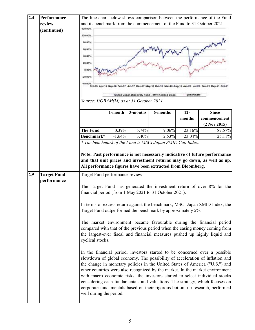| 2.4                                                                                                                                                                                                                                                                                                                                                                                                                                                                                                                                                                                                                                                                                                                                                                                                                                                                                                                            | Performance        |                                         | The line chart below shows comparison between the performance of the Fund |          |                                                             |        |                                                                             |
|--------------------------------------------------------------------------------------------------------------------------------------------------------------------------------------------------------------------------------------------------------------------------------------------------------------------------------------------------------------------------------------------------------------------------------------------------------------------------------------------------------------------------------------------------------------------------------------------------------------------------------------------------------------------------------------------------------------------------------------------------------------------------------------------------------------------------------------------------------------------------------------------------------------------------------|--------------------|-----------------------------------------|---------------------------------------------------------------------------|----------|-------------------------------------------------------------|--------|-----------------------------------------------------------------------------|
|                                                                                                                                                                                                                                                                                                                                                                                                                                                                                                                                                                                                                                                                                                                                                                                                                                                                                                                                | review             |                                         | and its benchmark from the commencement of the Fund to 31 October 2021.   |          |                                                             |        |                                                                             |
|                                                                                                                                                                                                                                                                                                                                                                                                                                                                                                                                                                                                                                                                                                                                                                                                                                                                                                                                | (continued)        | 120,00%                                 |                                                                           |          |                                                             |        |                                                                             |
|                                                                                                                                                                                                                                                                                                                                                                                                                                                                                                                                                                                                                                                                                                                                                                                                                                                                                                                                |                    | 100.00%                                 |                                                                           |          |                                                             |        |                                                                             |
|                                                                                                                                                                                                                                                                                                                                                                                                                                                                                                                                                                                                                                                                                                                                                                                                                                                                                                                                |                    | 80.00%                                  |                                                                           |          |                                                             |        |                                                                             |
|                                                                                                                                                                                                                                                                                                                                                                                                                                                                                                                                                                                                                                                                                                                                                                                                                                                                                                                                |                    | 60.00%                                  |                                                                           |          |                                                             |        |                                                                             |
|                                                                                                                                                                                                                                                                                                                                                                                                                                                                                                                                                                                                                                                                                                                                                                                                                                                                                                                                |                    | 40.00%                                  |                                                                           |          |                                                             |        |                                                                             |
|                                                                                                                                                                                                                                                                                                                                                                                                                                                                                                                                                                                                                                                                                                                                                                                                                                                                                                                                |                    |                                         |                                                                           |          |                                                             |        |                                                                             |
|                                                                                                                                                                                                                                                                                                                                                                                                                                                                                                                                                                                                                                                                                                                                                                                                                                                                                                                                | 20.00%             |                                         |                                                                           |          |                                                             |        |                                                                             |
|                                                                                                                                                                                                                                                                                                                                                                                                                                                                                                                                                                                                                                                                                                                                                                                                                                                                                                                                |                    |                                         | 0.00%                                                                     |          |                                                             |        |                                                                             |
|                                                                                                                                                                                                                                                                                                                                                                                                                                                                                                                                                                                                                                                                                                                                                                                                                                                                                                                                |                    | $-20.00%$                               |                                                                           |          |                                                             |        |                                                                             |
|                                                                                                                                                                                                                                                                                                                                                                                                                                                                                                                                                                                                                                                                                                                                                                                                                                                                                                                                |                    | 40,00%                                  |                                                                           |          |                                                             |        |                                                                             |
|                                                                                                                                                                                                                                                                                                                                                                                                                                                                                                                                                                                                                                                                                                                                                                                                                                                                                                                                |                    |                                         |                                                                           |          | United Japan Discovery Fund - MYR hedged Class              |        |                                                                             |
|                                                                                                                                                                                                                                                                                                                                                                                                                                                                                                                                                                                                                                                                                                                                                                                                                                                                                                                                |                    | Source: UOBAM(M) as at 31 October 2021. |                                                                           |          |                                                             |        |                                                                             |
|                                                                                                                                                                                                                                                                                                                                                                                                                                                                                                                                                                                                                                                                                                                                                                                                                                                                                                                                |                    |                                         |                                                                           |          |                                                             |        |                                                                             |
|                                                                                                                                                                                                                                                                                                                                                                                                                                                                                                                                                                                                                                                                                                                                                                                                                                                                                                                                |                    |                                         | 1-month                                                                   | 3-months | 6-months                                                    | $12-$  | <b>Since</b>                                                                |
|                                                                                                                                                                                                                                                                                                                                                                                                                                                                                                                                                                                                                                                                                                                                                                                                                                                                                                                                |                    |                                         |                                                                           |          |                                                             | months | commencement                                                                |
|                                                                                                                                                                                                                                                                                                                                                                                                                                                                                                                                                                                                                                                                                                                                                                                                                                                                                                                                |                    |                                         |                                                                           |          |                                                             |        | $(2$ Nov 2015)                                                              |
|                                                                                                                                                                                                                                                                                                                                                                                                                                                                                                                                                                                                                                                                                                                                                                                                                                                                                                                                |                    | <b>The Fund</b>                         | 0.39%                                                                     | 5.74%    | 9.06%                                                       | 23.16% | 87.57%                                                                      |
|                                                                                                                                                                                                                                                                                                                                                                                                                                                                                                                                                                                                                                                                                                                                                                                                                                                                                                                                |                    | Benchmark*                              | $-1.64%$                                                                  | 3.40%    | 2.53%                                                       | 23.04% | 25.11%                                                                      |
|                                                                                                                                                                                                                                                                                                                                                                                                                                                                                                                                                                                                                                                                                                                                                                                                                                                                                                                                |                    |                                         |                                                                           |          | * The benchmark of the Fund is MSCI Japan SMID Cap Index.   |        |                                                                             |
|                                                                                                                                                                                                                                                                                                                                                                                                                                                                                                                                                                                                                                                                                                                                                                                                                                                                                                                                |                    |                                         |                                                                           |          | All performance figures have been extracted from Bloomberg. |        | and that unit prices and investment returns may go down, as well as up.     |
| 2.5                                                                                                                                                                                                                                                                                                                                                                                                                                                                                                                                                                                                                                                                                                                                                                                                                                                                                                                            | <b>Target Fund</b> | Target Fund performance review          |                                                                           |          |                                                             |        |                                                                             |
|                                                                                                                                                                                                                                                                                                                                                                                                                                                                                                                                                                                                                                                                                                                                                                                                                                                                                                                                | performance        |                                         |                                                                           |          | financial period (from 1 May 2021 to 31 October 2021).      |        | The Target Fund has generated the investment return of over 8% for the      |
|                                                                                                                                                                                                                                                                                                                                                                                                                                                                                                                                                                                                                                                                                                                                                                                                                                                                                                                                |                    |                                         |                                                                           |          |                                                             |        | In terms of excess return against the benchmark, MSCI Japan SMID Index, the |
| Target Fund outperformed the benchmark by approximately 5%.<br>The market environment became favourable during the financial period<br>compared with that of the previous period when the easing money coming from<br>the largest-ever fiscal and financial measures pushed up highly liquid and<br>cyclical stocks.<br>In the financial period, investors started to be concerned over a possible<br>slowdown of global economy. The possibility of acceleration of inflation and<br>the change in monetary policies in the United States of America ("U.S.") and<br>other countries were also recognized by the market. In the market environment<br>with macro economic risks, the investors started to select individual stocks<br>considering each fundamentals and valuations. The strategy, which focuses on<br>corporate fundamentals based on their rigorous bottom-up research, performed<br>well during the period. |                    |                                         |                                                                           |          |                                                             |        |                                                                             |
|                                                                                                                                                                                                                                                                                                                                                                                                                                                                                                                                                                                                                                                                                                                                                                                                                                                                                                                                |                    |                                         |                                                                           |          |                                                             |        |                                                                             |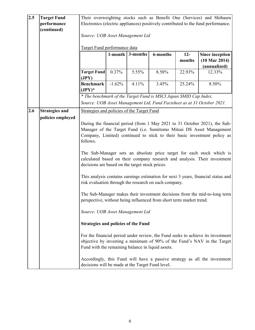| 2.5<br><b>Target Fund</b><br>Their overweighting stocks such as Benefit One (Services) and Shibaura<br>performance<br>Electronics (electric appliances) positively contributed to the fund performance.<br>(continued)<br>Source: UOB Asset Management Ltd<br>Target Fund performance data<br>3-months<br>6-months<br>$12 -$<br>1-month<br>$(10 \text{ Mar } 2014)$<br>months |                                                                                   |  |  |  |  |  |
|-------------------------------------------------------------------------------------------------------------------------------------------------------------------------------------------------------------------------------------------------------------------------------------------------------------------------------------------------------------------------------|-----------------------------------------------------------------------------------|--|--|--|--|--|
|                                                                                                                                                                                                                                                                                                                                                                               |                                                                                   |  |  |  |  |  |
|                                                                                                                                                                                                                                                                                                                                                                               |                                                                                   |  |  |  |  |  |
|                                                                                                                                                                                                                                                                                                                                                                               |                                                                                   |  |  |  |  |  |
|                                                                                                                                                                                                                                                                                                                                                                               |                                                                                   |  |  |  |  |  |
|                                                                                                                                                                                                                                                                                                                                                                               |                                                                                   |  |  |  |  |  |
|                                                                                                                                                                                                                                                                                                                                                                               | Since inception                                                                   |  |  |  |  |  |
|                                                                                                                                                                                                                                                                                                                                                                               |                                                                                   |  |  |  |  |  |
| (annualized)                                                                                                                                                                                                                                                                                                                                                                  |                                                                                   |  |  |  |  |  |
| <b>Target Fund</b><br>0.37%<br>5.55%<br>8.58%<br>22.93%<br>12.33%                                                                                                                                                                                                                                                                                                             |                                                                                   |  |  |  |  |  |
| (JPY)                                                                                                                                                                                                                                                                                                                                                                         |                                                                                   |  |  |  |  |  |
| <b>Benchmark</b><br>$-1.62%$<br>25.24%<br>8.50%<br>4.11%<br>3.45%                                                                                                                                                                                                                                                                                                             |                                                                                   |  |  |  |  |  |
| $(JPY)^*$                                                                                                                                                                                                                                                                                                                                                                     |                                                                                   |  |  |  |  |  |
| * The benchmark of the Target Fund is MSCI Japan SMID Cap Index.                                                                                                                                                                                                                                                                                                              |                                                                                   |  |  |  |  |  |
| Source: UOB Asset Management Ltd, Fund Factsheet as at 31 October 2021.                                                                                                                                                                                                                                                                                                       |                                                                                   |  |  |  |  |  |
|                                                                                                                                                                                                                                                                                                                                                                               |                                                                                   |  |  |  |  |  |
| 2.6<br><b>Strategies and</b><br>Strategies and policies of the Target Fund                                                                                                                                                                                                                                                                                                    |                                                                                   |  |  |  |  |  |
| policies employed                                                                                                                                                                                                                                                                                                                                                             |                                                                                   |  |  |  |  |  |
| During the financial period (from 1 May 2021 to 31 October 2021), the Sub-                                                                                                                                                                                                                                                                                                    |                                                                                   |  |  |  |  |  |
| Manager of the Target Fund (i.e. Sumitomo Mitsui DS Asset Management                                                                                                                                                                                                                                                                                                          |                                                                                   |  |  |  |  |  |
| Company, Limited) continued to stick to their basic investment policy as                                                                                                                                                                                                                                                                                                      |                                                                                   |  |  |  |  |  |
|                                                                                                                                                                                                                                                                                                                                                                               | follows.                                                                          |  |  |  |  |  |
|                                                                                                                                                                                                                                                                                                                                                                               |                                                                                   |  |  |  |  |  |
|                                                                                                                                                                                                                                                                                                                                                                               | The Sub-Manager sets an absolute price target for each stock which is             |  |  |  |  |  |
|                                                                                                                                                                                                                                                                                                                                                                               | calculated based on their company research and analysis. Their investment         |  |  |  |  |  |
|                                                                                                                                                                                                                                                                                                                                                                               | decisions are based on the target stock prices.                                   |  |  |  |  |  |
|                                                                                                                                                                                                                                                                                                                                                                               |                                                                                   |  |  |  |  |  |
|                                                                                                                                                                                                                                                                                                                                                                               | This analysis contains earnings estimation for next 3 years, financial status and |  |  |  |  |  |
| risk evaluation through the research on each company.                                                                                                                                                                                                                                                                                                                         |                                                                                   |  |  |  |  |  |
|                                                                                                                                                                                                                                                                                                                                                                               |                                                                                   |  |  |  |  |  |
| The Sub-Manager makes their investment decisions from the mid-to-long term<br>perspective, without being influenced from short term market trend.                                                                                                                                                                                                                             |                                                                                   |  |  |  |  |  |
|                                                                                                                                                                                                                                                                                                                                                                               |                                                                                   |  |  |  |  |  |
| Source: UOB Asset Management Ltd                                                                                                                                                                                                                                                                                                                                              |                                                                                   |  |  |  |  |  |
|                                                                                                                                                                                                                                                                                                                                                                               |                                                                                   |  |  |  |  |  |
| <b>Strategies and policies of the Fund</b>                                                                                                                                                                                                                                                                                                                                    |                                                                                   |  |  |  |  |  |
|                                                                                                                                                                                                                                                                                                                                                                               |                                                                                   |  |  |  |  |  |
| For the financial period under review, the Fund seeks to achieve its investment                                                                                                                                                                                                                                                                                               |                                                                                   |  |  |  |  |  |
|                                                                                                                                                                                                                                                                                                                                                                               | objective by investing a minimum of 90% of the Fund's NAV in the Target           |  |  |  |  |  |
| Fund with the remaining balance in liquid assets.                                                                                                                                                                                                                                                                                                                             |                                                                                   |  |  |  |  |  |
| Accordingly, this Fund will have a passive strategy as all the investment                                                                                                                                                                                                                                                                                                     |                                                                                   |  |  |  |  |  |
| decisions will be made at the Target Fund level.                                                                                                                                                                                                                                                                                                                              |                                                                                   |  |  |  |  |  |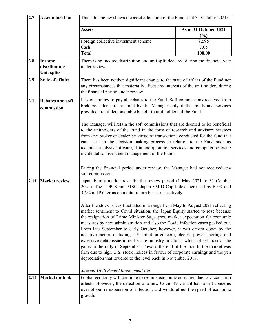| 2.7  | <b>Asset allocation</b>               | This table below shows the asset allocation of the Fund as at 31 October 2021:                                                                                                                                                                                                                                                                                                                                                                                                                                                                                                                                                                                                                                                                                                                                          |                              |  |  |
|------|---------------------------------------|-------------------------------------------------------------------------------------------------------------------------------------------------------------------------------------------------------------------------------------------------------------------------------------------------------------------------------------------------------------------------------------------------------------------------------------------------------------------------------------------------------------------------------------------------------------------------------------------------------------------------------------------------------------------------------------------------------------------------------------------------------------------------------------------------------------------------|------------------------------|--|--|
|      |                                       | <b>Assets</b>                                                                                                                                                                                                                                                                                                                                                                                                                                                                                                                                                                                                                                                                                                                                                                                                           | As at 31 October 2021<br>(%) |  |  |
|      |                                       | Foreign collective investment scheme                                                                                                                                                                                                                                                                                                                                                                                                                                                                                                                                                                                                                                                                                                                                                                                    | 92.95                        |  |  |
|      |                                       | Cash                                                                                                                                                                                                                                                                                                                                                                                                                                                                                                                                                                                                                                                                                                                                                                                                                    | 7.05                         |  |  |
|      |                                       | <b>Total</b>                                                                                                                                                                                                                                                                                                                                                                                                                                                                                                                                                                                                                                                                                                                                                                                                            | 100.00                       |  |  |
| 2.8  | <b>Income</b>                         | There is no income distribution and unit split declared during the financial year                                                                                                                                                                                                                                                                                                                                                                                                                                                                                                                                                                                                                                                                                                                                       |                              |  |  |
|      | distribution/<br><b>Unit splits</b>   | under review.                                                                                                                                                                                                                                                                                                                                                                                                                                                                                                                                                                                                                                                                                                                                                                                                           |                              |  |  |
| 2.9  | <b>State of affairs</b>               | There has been neither significant change to the state of affairs of the Fund nor                                                                                                                                                                                                                                                                                                                                                                                                                                                                                                                                                                                                                                                                                                                                       |                              |  |  |
|      |                                       | any circumstances that materially affect any interests of the unit holders during<br>the financial period under review.                                                                                                                                                                                                                                                                                                                                                                                                                                                                                                                                                                                                                                                                                                 |                              |  |  |
| 2.10 | <b>Rebates and soft</b><br>commission | It is our policy to pay all rebates to the Fund. Soft commissions received from<br>brokers/dealers are retained by the Manager only if the goods and services<br>provided are of demonstrable benefit to unit holders of the Fund.                                                                                                                                                                                                                                                                                                                                                                                                                                                                                                                                                                                      |                              |  |  |
|      |                                       | The Manager will retain the soft commissions that are deemed to be beneficial<br>to the unitholders of the Fund in the form of research and advisory services<br>from any broker or dealer by virtue of transactions conducted for the fund that<br>can assist in the decision making process in relation to the Fund such as<br>technical analysis software, data and quotation services and computer software<br>incidental to investment management of the Fund.                                                                                                                                                                                                                                                                                                                                                     |                              |  |  |
|      |                                       | During the financial period under review, the Manager had not received any<br>soft commissions.                                                                                                                                                                                                                                                                                                                                                                                                                                                                                                                                                                                                                                                                                                                         |                              |  |  |
| 2.11 | <b>Market review</b>                  | Japan Equity market rose for the review period (1 May 2021 to 31 October<br>2021). The TOPIX and MSCI Japan SMID Cap Index increased by 6.5% and<br>3.6% in JPY terms on a total return basis, respectively.                                                                                                                                                                                                                                                                                                                                                                                                                                                                                                                                                                                                            |                              |  |  |
|      |                                       | After the stock prices fluctuated in a range from May to August 2021 reflecting<br>market sentiment to Covid situation, the Japan Equity started to rose because<br>the resignation of Prime Minister Suga grew market expectation for economic<br>measures by next administration and also the Covid infection cases peaked out.<br>From late September to early October, however, it was driven down by the<br>negative factors including U.S. inflation concern, electric power shortage and<br>excessive debts issue in real estate industry in China, which offset most of the<br>gains in the rally in September. Toward the end of the month, the market was<br>firm due to high U.S. stock indices in favour of corporate earnings and the yen<br>depreciation that lowered to the level back in November 2017. |                              |  |  |
|      |                                       | Source: UOB Asset Management Ltd                                                                                                                                                                                                                                                                                                                                                                                                                                                                                                                                                                                                                                                                                                                                                                                        |                              |  |  |
| 2.12 | <b>Market outlook</b>                 | Global economy will continue to resume economic activities due to vaccination<br>effects. However, the detection of a new Covid-19 variant has raised concerns<br>over global re-expansion of infection, and would affect the speed of economic<br>growth.                                                                                                                                                                                                                                                                                                                                                                                                                                                                                                                                                              |                              |  |  |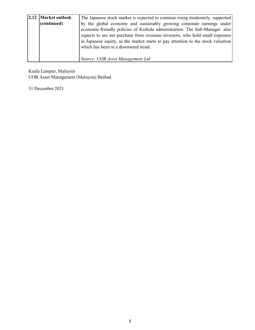| 2.12 Market outlook | The Japanese stock market is expected to continue rising moderately, supported   |  |  |  |
|---------------------|----------------------------------------------------------------------------------|--|--|--|
| (continued)         | by the global economy and sustainably growing corporate earnings under           |  |  |  |
|                     | economic-friendly policies of Kishida administration. The Sub-Manager also       |  |  |  |
|                     | expects to see net purchase from overseas investors, who hold small exposure     |  |  |  |
|                     | in Japanese equity, as the market starts to pay attention to the stock valuation |  |  |  |
|                     | which has been in a downward trend.                                              |  |  |  |
|                     |                                                                                  |  |  |  |
|                     | Source: UOB Asset Management Ltd                                                 |  |  |  |

Kuala Lumpur, Malaysia UOB Asset Management (Malaysia) Berhad

31 December 2021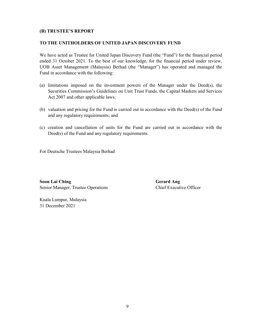## **(B) TRUSTEE'S REPORT**

### **TO THE UNITHOLDERS OF UNITED JAPAN DISCOVERY FUND**

We have acted as Trustee for United Japan Discovery Fund (the "Fund") for the financial period ended 31 October 2021. To the best of our knowledge, for the financial period under review, UOB Asset Management (Malaysia) Berhad (the "Manager") has operated and managed the Fund in accordance with the following:

- (a) limitations imposed on the investment powers of the Manager under the Deed(s), the Securities Commission's Guidelines on Unit Trust Funds, the Capital Markets and Services Act 2007 and other applicable laws;
- (b) valuation and pricing for the Fund is carried out in accordance with the Deed(s) of the Fund and any regulatory requirements; and
- (c) creation and cancellation of units for the Fund are carried out in accordance with the Deed(s) of the Fund and any regulatory requirements.

For Deutsche Trustees Malaysia Berhad

**Soon Lai Ching Gerard Ang** Senior Manager, Trustee Operations Chief Executive Officer

Kuala Lumpur, Malaysia 31 December 2021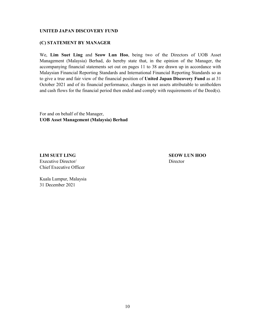## **(C) STATEMENT BY MANAGER**

We, **Lim Suet Ling** and **Seow Lun Hoo**, being two of the Directors of UOB Asset Management (Malaysia) Berhad, do hereby state that, in the opinion of the Manager, the accompanying financial statements set out on pages 11 to 38 are drawn up in accordance with Malaysian Financial Reporting Standards and International Financial Reporting Standards so as to give a true and fair view of the financial position of **United Japan Discovery Fund** as at 31 October 2021 and of its financial performance, changes in net assets attributable to unitholders and cash flows for the financial period then ended and comply with requirements of the Deed(s).

For and on behalf of the Manager, **UOB Asset Management (Malaysia) Berhad**

**LIM SUET LING SEOW LUN HOO** Executive Director/ Director Chief Executive Officer

Kuala Lumpur, Malaysia 31 December 2021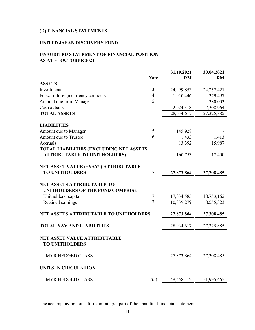# **(D) FINANCIAL STATEMENTS**

## **UNITED JAPAN DISCOVERY FUND**

## **UNAUDITED STATEMENT OF FINANCIAL POSITION AS AT 31 OCTOBER 2021**

|                                                                        | <b>Note</b>    | 31.10.2021<br><b>RM</b> | 30.04.2021<br><b>RM</b> |
|------------------------------------------------------------------------|----------------|-------------------------|-------------------------|
| <b>ASSETS</b>                                                          |                |                         |                         |
| Investments                                                            | 3              | 24,999,853              | 24,257,421              |
| Forward foreign currency contracts                                     | $\overline{4}$ | 1,010,446               | 379,497                 |
| Amount due from Manager                                                | 5              |                         | 380,003                 |
| Cash at bank                                                           |                | 2,024,318               | 2,308,964               |
| <b>TOTAL ASSETS</b>                                                    |                | 28,034,617              | 27,325,885              |
| <b>LIABILITIES</b>                                                     |                |                         |                         |
| Amount due to Manager                                                  | $\mathfrak s$  | 145,928                 |                         |
| Amount due to Trustee                                                  | 6              | 1,433                   | 1,413                   |
| Accruals                                                               |                | 13,392                  | 15,987                  |
| TOTAL LIABILITIES (EXCLUDING NET ASSETS                                |                |                         |                         |
| <b>ATTRIBUTABLE TO UNITHOLDERS)</b>                                    |                | 160,753                 | 17,400                  |
| NET ASSET VALUE ("NAV") ATTRIBUTABLE<br><b>TO UNITHOLDERS</b>          | $\tau$         | 27,873,864              | 27,308,485              |
| <b>NET ASSETS ATTRIBUTABLE TO</b><br>UNITHOLDERS OF THE FUND COMPRISE: |                |                         |                         |
| Unitholders' capital                                                   | 7              | 17,034,585              | 18,753,162              |
| Retained earnings                                                      | $\overline{7}$ | 10,839,279              | 8,555,323               |
| <b>NET ASSETS ATTRIBUTABLE TO UNITHOLDERS</b>                          |                | 27,873,864              | 27,308,485              |
| <b>TOTAL NAV AND LIABILITIES</b>                                       |                | 28,034,617              | 27,325,885              |
| <b>NET ASSET VALUE ATTRIBUTABLE</b><br><b>TO UNITHOLDERS</b>           |                |                         |                         |
| - MYR HEDGED CLASS                                                     |                | 27,873,864              | 27,308,485              |
| <b>UNITS IN CIRCULATION</b>                                            |                |                         |                         |
| - MYR HEDGED CLASS                                                     | 7(a)           | 48,658,412              | 51,995,465              |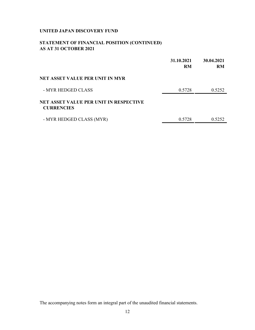## **STATEMENT OF FINANCIAL POSITION (CONTINUED) AS AT 31 OCTOBER 2021**

|                                                                    | 31.10.2021<br><b>RM</b> | 30.04.2021<br><b>RM</b> |
|--------------------------------------------------------------------|-------------------------|-------------------------|
| NET ASSET VALUE PER UNIT IN MYR                                    |                         |                         |
| - MYR HEDGED CLASS                                                 | 0.5728                  | 0.5252                  |
| <b>NET ASSET VALUE PER UNIT IN RESPECTIVE</b><br><b>CURRENCIES</b> |                         |                         |
| - MYR HEDGED CLASS (MYR)                                           | 0.5728                  | 0.5252                  |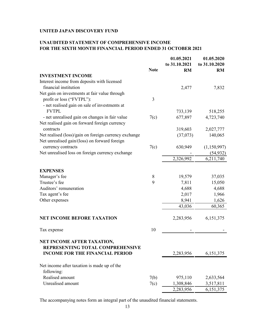## **UNAUDITED STATEMENT OF COMPREHENSIVE INCOME FOR THE SIXTH MONTH FINANCIAL PERIOD ENDED 31 OCTOBER 2021**

|                                                       |             | 01.05.2021    | 01.05.2020    |
|-------------------------------------------------------|-------------|---------------|---------------|
|                                                       |             | to 31.10.2021 | to 31.10.2020 |
|                                                       | <b>Note</b> | <b>RM</b>     | <b>RM</b>     |
| <b>INVESTMENT INCOME</b>                              |             |               |               |
| Interest income from deposits with licensed           |             |               |               |
| financial institution                                 |             | 2,477         | 7,832         |
| Net gain on investments at fair value through         |             |               |               |
| profit or loss ("FVTPL"):                             | 3           |               |               |
| - net realised gain on sale of investments at         |             |               |               |
| <b>FVTPL</b>                                          |             | 733,139       | 518,255       |
| - net unrealised gain on changes in fair value        | 7(c)        | 677,897       | 4,723,740     |
| Net realised gain on forward foreign currency         |             |               |               |
| contracts                                             |             | 319,603       | 2,027,777     |
| Net realised (loss)/gain on foreign currency exchange |             | (37,073)      | 140,065       |
| Net unrealised gain/(loss) on forward foreign         |             |               |               |
| currency contracts                                    | 7(c)        | 630,949       | (1,150,997)   |
| Net unrealised loss on foreign currency exchange      |             |               | (54, 932)     |
|                                                       |             | 2,326,992     | 6,211,740     |
|                                                       |             |               |               |
| <b>EXPENSES</b>                                       |             |               |               |
| Manager's fee                                         | $8\,$       | 19,579        | 37,035        |
| Trustee's fee                                         | 9           | 7,811         | 15,050        |
| Auditors' remuneration                                |             | 4,688         | 4,688         |
| Tax agent's fee                                       |             | 2,017         | 1,966         |
| Other expenses                                        |             | 8,941         | 1,626         |
|                                                       |             | 43,036        | 60,365        |
|                                                       |             |               |               |
| <b>NET INCOME BEFORE TAXATION</b>                     |             | 2,283,956     | 6,151,375     |
|                                                       |             |               |               |
| Tax expense                                           | 10          |               |               |
| NET INCOME AFTER TAXATION,                            |             |               |               |
| REPRESENTING TOTAL COMPREHENSIVE                      |             |               |               |
| <b>INCOME FOR THE FINANCIAL PERIOD</b>                |             | 2,283,956     | 6,151,375     |
|                                                       |             |               |               |
| Net income after taxation is made up of the           |             |               |               |
| following:                                            |             |               |               |
| Realised amount                                       | 7(b)        | 975,110       | 2,633,564     |
| Unrealised amount                                     | 7(c)        | 1,308,846     | 3,517,811     |
|                                                       |             | 2,283,956     | 6,151,375     |
|                                                       |             |               |               |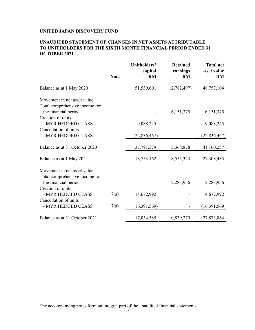## **UNAUDITED STATEMENT OF CHANGES IN NET ASSETS ATTRIBUTABLE TO UNITHOLDERS FOR THE SIXTH MONTH FINANCIAL PERIOD ENDED 31 OCTOBER 2021**

|                                                                             | <b>Note</b> | Unitholders'<br>capital<br><b>RM</b> | <b>Retained</b><br>earnings<br><b>RM</b> | <b>Total net</b><br>asset value<br><b>RM</b> |
|-----------------------------------------------------------------------------|-------------|--------------------------------------|------------------------------------------|----------------------------------------------|
| Balance as at 1 May 2020                                                    |             | 51,539,601                           | (2,782,497)                              | 48,757,104                                   |
| Movement in net asset value:                                                |             |                                      |                                          |                                              |
| Total comprehensive income for<br>the financial period<br>Creation of units |             |                                      | 6,151,375                                | 6,151,375                                    |
| - MYR HEDGED CLASS                                                          |             | 9,088,245                            |                                          | 9,088,245                                    |
| Cancellation of units<br>- MYR HEDGED CLASS                                 |             | (22, 836, 467)                       |                                          | (22,836,467)                                 |
| Balance as at 31 October 2020                                               |             | 37,791,379                           | 3,368,878                                | 41,160,257                                   |
| Balance as at 1 May 2021                                                    |             | 18,753,162                           | 8,555,323                                | 27,308,485                                   |
| Movement in net asset value:<br>Total comprehensive income for              |             |                                      |                                          |                                              |
| the financial period                                                        |             |                                      | 2,283,956                                | 2,283,956                                    |
| Creation of units                                                           |             |                                      |                                          |                                              |
| - MYR HEDGED CLASS<br>Cancellation of units                                 | 7(a)        | 14,672,992                           |                                          | 14,672,992                                   |
| - MYR HEDGED CLASS                                                          | 7(a)        | (16, 391, 569)                       |                                          | (16,391,569)                                 |
| Balance as at 31 October 2021                                               |             | 17,034,585                           | 10,839,279                               | 27,873,864                                   |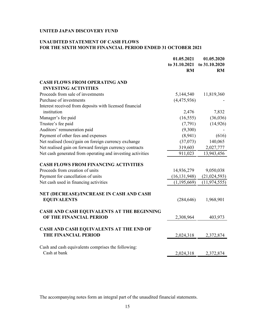## **UNAUDITED STATEMENT OF CASH FLOWS FOR THE SIXTH MONTH FINANCIAL PERIOD ENDED 31 OCTOBER 2021**

|                                                                        | 01.05.2021<br>to 31.10.2021<br><b>RM</b> | 01.05.2020<br>to 31.10.2020<br>RM |
|------------------------------------------------------------------------|------------------------------------------|-----------------------------------|
| <b>CASH FLOWS FROM OPERATING AND</b>                                   |                                          |                                   |
| <b>INVESTING ACTIVITIES</b>                                            |                                          |                                   |
| Proceeds from sale of investments                                      | 5,144,540                                | 11,819,360                        |
| Purchase of investments                                                | (4,475,936)                              |                                   |
| Interest received from deposits with licensed financial<br>institution | 2,476                                    | 7,832                             |
| Manager's fee paid                                                     | (16, 555)                                | (36,036)                          |
| Trustee's fee paid                                                     | (7,791)                                  | (14, 926)                         |
| Auditors' remuneration paid                                            | (9,300)                                  |                                   |
| Payment of other fees and expenses                                     | (8,941)                                  | (616)                             |
| Net realised (loss)/gain on foreign currency exchange                  | (37,073)                                 | 140,065                           |
| Net realised gain on forward foreign currency contracts                | 319,603                                  | 2,027,777                         |
| Net cash generated from operating and investing activities             | 911,023                                  | 13,943,456                        |
| <b>CASH FLOWS FROM FINANCING ACTIVITIES</b>                            |                                          |                                   |
| Proceeds from creation of units                                        | 14,936,279                               | 9,050,038                         |
| Payment for cancellation of units                                      | (16, 131, 948)                           | (21, 024, 593)                    |
| Net cash used in financing activities                                  | (1, 195, 669)                            | (11, 974, 555)                    |
| NET (DECREASE)/INCREASE IN CASH AND CASH<br><b>EQUIVALENTS</b>         | (284, 646)                               | 1,968,901                         |
| CASH AND CASH EQUIVALENTS AT THE BEGINNING<br>OF THE FINANCIAL PERIOD  | 2,308,964                                | 403,973                           |
| CASH AND CASH EQUIVALENTS AT THE END OF<br>THE FINANCIAL PERIOD        | 2,024,318                                | 2,372,874                         |
| Cash and cash equivalents comprises the following:<br>Cash at bank     | 2,024,318                                | 2,372,874                         |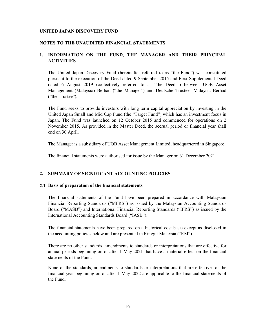## **NOTES TO THE UNAUDITED FINANCIAL STATEMENTS**

## **1. INFORMATION ON THE FUND, THE MANAGER AND THEIR PRINCIPAL ACTIVITIES**

The United Japan Discovery Fund (hereinafter referred to as "the Fund") was constituted pursuant to the execution of the Deed dated 9 September 2015 and First Supplemental Deed dated 6 August 2019 (collectively referred to as "the Deeds") between UOB Asset Management (Malaysia) Berhad ("the Manager") and Deutsche Trustees Malaysia Berhad ("the Trustee").

The Fund seeks to provide investors with long term capital appreciation by investing in the United Japan Small and Mid Cap Fund (the "Target Fund") which has an investment focus in Japan. The Fund was launched on 12 October 2015 and commenced for operations on 2 November 2015. As provided in the Master Deed, the accrual period or financial year shall end on 30 April.

The Manager is a subsidiary of UOB Asset Management Limited, headquartered in Singapore.

The financial statements were authorised for issue by the Manager on 31 December 2021.

## **2. SUMMARY OF SIGNIFICANT ACCOUNTING POLICIES**

## **2.1 Basis of preparation of the financial statements**

The financial statements of the Fund have been prepared in accordance with Malaysian Financial Reporting Standards ("MFRS") as issued by the Malaysian Accounting Standards Board ("MASB") and International Financial Reporting Standards ("IFRS") as issued by the International Accounting Standards Board ("IASB").

The financial statements have been prepared on a historical cost basis except as disclosed in the accounting policies below and are presented in Ringgit Malaysia ("RM").

There are no other standards, amendments to standards or interpretations that are effective for annual periods beginning on or after 1 May 2021 that have a material effect on the financial statements of the Fund.

None of the standards, amendments to standards or interpretations that are effective for the financial year beginning on or after 1 May 2022 are applicable to the financial statements of the Fund.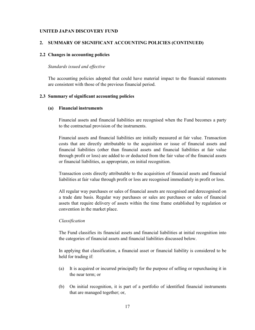#### **2. SUMMARY OF SIGNIFICANT ACCOUNTING POLICIES (CONTINUED)**

### **2.2 Changes in accounting policies**

#### *Standards issued and effective*

The accounting policies adopted that could have material impact to the financial statements are consistent with those of the previous financial period.

### **2.3 Summary of significant accounting policies**

## **(a) Financial instruments**

Financial assets and financial liabilities are recognised when the Fund becomes a party to the contractual provision of the instruments.

Financial assets and financial liabilities are initially measured at fair value. Transaction costs that are directly attributable to the acquisition or issue of financial assets and financial liabilities (other than financial assets and financial liabilities at fair value through profit or loss) are added to or deducted from the fair value of the financial assets or financial liabilities, as appropriate, on initial recognition.

Transaction costs directly attributable to the acquisition of financial assets and financial liabilities at fair value through profit or loss are recognised immediately in profit or loss.

All regular way purchases or sales of financial assets are recognised and derecognised on a trade date basis. Regular way purchases or sales are purchases or sales of financial assets that require delivery of assets within the time frame established by regulation or convention in the market place.

## *Classification*

The Fund classifies its financial assets and financial liabilities at initial recognition into the categories of financial assets and financial liabilities discussed below.

In applying that classification, a financial asset or financial liability is considered to be held for trading if:

- (a) It is acquired or incurred principally for the purpose of selling or repurchasing it in the near term; or
- (b) On initial recognition, it is part of a portfolio of identified financial instruments that are managed together; or,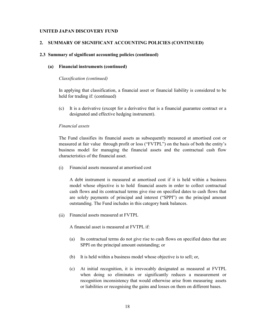#### **2. SUMMARY OF SIGNIFICANT ACCOUNTING POLICIES (CONTINUED)**

### **2.3 Summary of significant accounting policies (continued)**

#### **(a) Financial instruments (continued)**

#### *Classification (continued)*

In applying that classification, a financial asset or financial liability is considered to be held for trading if: (continued)

(c) It is a derivative (except for a derivative that is a financial guarantee contract or a designated and effective hedging instrument).

## *Financial assets*

The Fund classifies its financial assets as subsequently measured at amortised cost or measured at fair value through profit or loss ("FVTPL") on the basis of both the entity's business model for managing the financial assets and the contractual cash flow characteristics of the financial asset.

(i) Financial assets measured at amortised cost

A debt instrument is measured at amortised cost if it is held within a business model whose objective is to hold financial assets in order to collect contractual cash flows and its contractual terms give rise on specified dates to cash flows that are solely payments of principal and interest ("SPPI") on the principal amount outstanding. The Fund includes in this category bank balances.

(ii) Financial assets measured at FVTPL

A financial asset is measured at FVTPL if:

- (a) Its contractual terms do not give rise to cash flows on specified dates that are SPPI on the principal amount outstanding; or
- (b) It is held within a business model whose objective is to sell; or,
- (c) At initial recognition, it is irrevocably designated as measured at FVTPL when doing so eliminates or significantly reduces a measurement or recognition inconsistency that would otherwise arise from measuring assets or liabilities or recognising the gains and losses on them on different bases.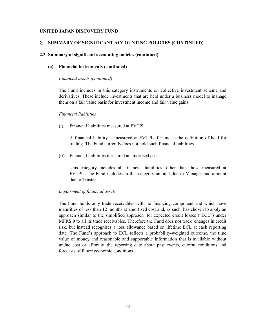#### **2. SUMMARY OF SIGNIFICANT ACCOUNTING POLICIES (CONTINUED)**

### **2.3 Summary of significant accounting policies (continued)**

#### **(a) Financial instruments (continued)**

#### *Financial assets (continued)*

The Fund includes in this category instruments on collective investment scheme and derivatives. These include investments that are held under a business model to manage them on a fair value basis for investment income and fair value gains.

#### *Financial liabilities*

(i) Financial liabilities measured at FVTPL

A financial liability is measured at FVTPL if it meets the definition of held for trading. The Fund currently does not hold such financial liabilities.

(ii) Financial liabilities measured at amortised cost

This category includes all financial liabilities, other than those measured at FVTPL. The Fund includes in this category amount due to Manager and amount due to Trustee.

#### *Impairment of financial assets*

The Fund holds only trade receivables with no financing component and which have maturities of less than 12 months at amortised cost and, as such, has chosen to apply an approach similar to the simplified approach for expected credit losses ("ECL") under MFRS 9 to all its trade receivables. Therefore the Fund does not track changes in credit risk, but instead recognises a loss allowance based on lifetime ECL at each reporting date. The Fund's approach to ECL reflects a probability-weighted outcome, the time value of money and reasonable and supportable information that is available without undue cost or effort at the reporting date about past events, current conditions and forecasts of future economic conditions.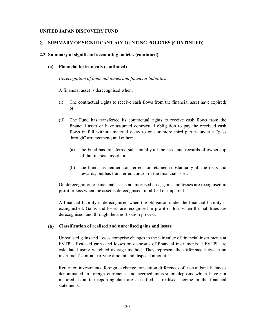#### **2. SUMMARY OF SIGNIFICANT ACCOUNTING POLICIES (CONTINUED)**

#### **2.3 Summary of significant accounting policies (continued)**

### **(a) Financial instruments (continued)**

*Derecognition of financial assets and financial liabilities*

A financial asset is derecognised when:

- (i) The contractual rights to receive cash flows from the financial asset have expired; or
- (ii) The Fund has transferred its contractual rights to receive cash flows from the financial asset or have assumed contractual obligation to pay the received cash flows in full without material delay to one or more third parties under a "pass through" arrangement; and either:
	- (a) the Fund has transferred substantially all the risks and rewards of ownership of the financial asset; or
	- (b) the Fund has neither transferred nor retained substantially all the risks and rewards, but has transferred control of the financial asset.

On derecognition of financial assets at amortised cost, gains and losses are recognised in profit or loss when the asset is derecognised, modified or impaired.

A financial liability is derecognised when the obligation under the financial liability is extinguished. Gains and losses are recognised in profit or loss when the liabilities are derecognised, and through the amortisation process.

#### **(b) Classification of realised and unrealised gains and losses**

Unrealised gains and losses comprise changes in the fair value of financial instruments at FVTPL. Realised gains and losses on disposals of financial instruments at FVTPL are calculated using weighted average method. They represent the difference between an instrument's initial carrying amount and disposal amount.

Return on investments, foreign exchange translation differences of cash at bank balances denominated in foreign currencies and accrued interest on deposits which have not matured as at the reporting date are classified as realised income in the financial statements.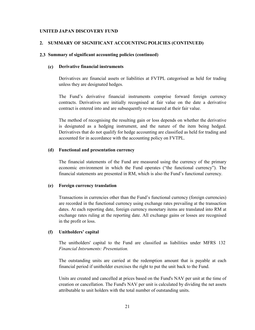#### **2. SUMMARY OF SIGNIFICANT ACCOUNTING POLICIES (CONTINUED)**

#### **2.3 Summary of significant accounting policies (continued)**

### **(c) Derivative financial instruments**

Derivatives are financial assets or liabilities at FVTPL categorised as held for trading unless they are designated hedges.

The Fund's derivative financial instruments comprise forward foreign currency contracts. Derivatives are initially recognised at fair value on the date a derivative contract is entered into and are subsequently re-measured at their fair value.

The method of recognising the resulting gain or loss depends on whether the derivative is designated as a hedging instrument, and the nature of the item being hedged. Derivatives that do not qualify for hedge accounting are classified as held for trading and accounted for in accordance with the accounting policy on FVTPL.

#### **(d) Functional and presentation currency**

The financial statements of the Fund are measured using the currency of the primary economic environment in which the Fund operates ("the functional currency"). The financial statements are presented in RM, which is also the Fund's functional currency.

#### **(e) Foreign currency translation**

Transactions in currencies other than the Fund's functional currency (foreign currencies) are recorded in the functional currency using exchange rates prevailing at the transaction dates. At each reporting date, foreign currency monetary items are translated into RM at exchange rates ruling at the reporting date. All exchange gains or losses are recognised in the profit or loss.

## **(f) Unitholders' capital**

The unitholders' capital to the Fund are classified as liabilities under MFRS 132 *Financial Intsruments: Presentation.*

The outstanding units are carried at the redemption amount that is payable at each financial period if unitholder exercises the right to put the unit back to the Fund.

Units are created and cancelled at prices based on the Fund's NAV per unit at the time of creation or cancellation. The Fund's NAV per unit is calculated by dividing the net assets attributable to unit holders with the total number of outstanding units.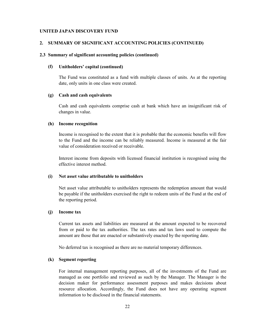#### **2. SUMMARY OF SIGNIFICANT ACCOUNTING POLICIES (CONTINUED)**

### **2.3 Summary of significant accounting policies (continued)**

#### **(f) Unitholders' capital (continued)**

The Fund was constituted as a fund with multiple classes of units. As at the reporting date, only units in one class were created.

#### **(g) Cash and cash equivalents**

Cash and cash equivalents comprise cash at bank which have an insignificant risk of changes in value.

## **(h) Income recognition**

Income is recognised to the extent that it is probable that the economic benefits will flow to the Fund and the income can be reliably measured. Income is measured at the fair value of consideration received or receivable.

Interest income from deposits with licensed financial institution is recognised using the effective interest method.

### **(i) Net asset value attributable to unitholders**

Net asset value attributable to unitholders represents the redemption amount that would be payable if the unitholders exercised the right to redeem units of the Fund at the end of the reporting period.

### **(j) Income tax**

Current tax assets and liabilities are measured at the amount expected to be recovered from or paid to the tax authorities. The tax rates and tax laws used to compute the amount are those that are enacted or substantively enacted by the reporting date.

No deferred tax is recognised as there are no material temporary differences.

#### **(k) Segment reporting**

For internal management reporting purposes, all of the investments of the Fund are managed as one portfolio and reviewed as such by the Manager. The Manager is the decision maker for performance assessment purposes and makes decisions about resource allocation. Accordingly, the Fund does not have any operating segment information to be disclosed in the financial statements.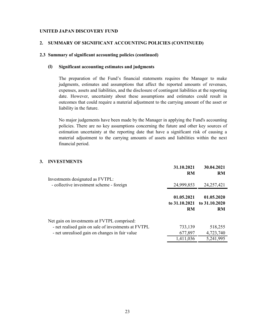### **2. SUMMARY OF SIGNIFICANT ACCOUNTING POLICIES (CONTINUED)**

### **2.3 Summary of significant accounting policies (continued)**

#### **(l) Significant accounting estimates and judgments**

The preparation of the Fund's financial statements requires the Manager to make judgments, estimates and assumptions that affect the reported amounts of revenues, expenses, assets and liabilities, and the disclosure of contingent liabilities at the reporting date. However, uncertainty about these assumptions and estimates could result in outcomes that could require a material adjustment to the carrying amount of the asset or liability in the future.

No major judgements have been made by the Manager in applying the Fund's accounting policies. There are no key assumptions concerning the future and other key sources of estimation uncertainty at the reporting date that have a significant risk of causing a material adjustment to the carrying amounts of assets and liabilities within the next financial period.

## **3. INVESTMENTS**

|                                                                                                    | 31.10.2021<br><b>RM</b> | 30.04.2021<br><b>RM</b>                                |
|----------------------------------------------------------------------------------------------------|-------------------------|--------------------------------------------------------|
| Investments designated as FVTPL:<br>- collective investment scheme - foreign                       | 24,999,853              | 24, 257, 421                                           |
|                                                                                                    | 01.05.2021<br><b>RM</b> | 01.05.2020<br>to 31.10.2021 to 31.10.2020<br><b>RM</b> |
| Net gain on investments at FVTPL comprised:<br>- net realised gain on sale of investments at FVTPL | 733,139                 | 518,255                                                |
| - net unrealised gain on changes in fair value                                                     | 677,897                 | 4,723,740                                              |
|                                                                                                    | 1,411,036               | 5,241,995                                              |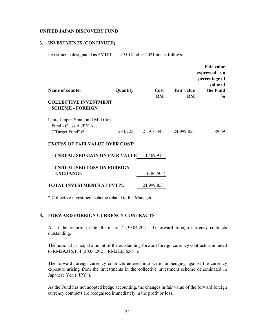### **3. INVESTMENTS (CONTINUED)**

Investments designated as FVTPL as at 31 October 2021 are as follows:

| Name of counter                                          | Quantity | Cost       | <b>Fair value</b> | <b>Fair value</b><br>expressed as a<br>percentage of<br>value of<br>the Fund |
|----------------------------------------------------------|----------|------------|-------------------|------------------------------------------------------------------------------|
|                                                          |          | <b>RM</b>  | <b>RM</b>         | $\frac{6}{9}$                                                                |
| <b>COLLECTIVE INVESTMENT</b><br><b>SCHEME - FOREIGN</b>  |          |            |                   |                                                                              |
| United Japan Small and Mid Cap<br>Fund - Class A JPY Acc |          |            |                   |                                                                              |
| ("Target Fund")*                                         | 283,225  | 21,916,443 | 24,999,853        | 89.69                                                                        |
| <b>EXCESS OF FAIR VALUE OVER COST:</b>                   |          |            |                   |                                                                              |
| - UNREALISED GAIN ON FAIR VALUE                          |          | 3,469,913  |                   |                                                                              |
| - UNREALISED LOSS ON FOREIGN                             |          |            |                   |                                                                              |
| <b>EXCHANGE</b>                                          |          | (386, 503) |                   |                                                                              |
| <b>TOTAL INVESTMENTS AT FVTPL</b>                        |          | 24,999,853 |                   |                                                                              |

\* Collective investment scheme related to the Manager.

## **4. FORWARD FOREIGN CURRENCY CONTRACTS**

As at the reporting date, there are 7 (30.04.2021: 3) forward foreign currency contracts outstanding.

The notional principal amount of the outstanding forward foreign currency contracts amounted to RM29,315,114 (30.04.2021: RM22,636,851).

The forward foreign currency contracts entered into were for hedging against the currency exposure arising from the investments in the collective investment scheme denominated in Japanese Yen ("JPY").

As the Fund has not adopted hedge accounting, the changes in fair value of the forward foreign currency contracts are recognised immediately in the profit or loss.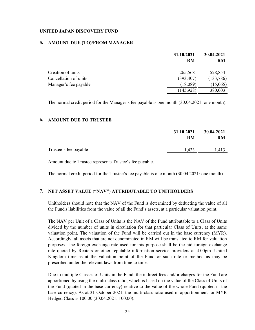## **5. AMOUNT DUE (TO)/FROM MANAGER**

|                       | 31.10.2021<br><b>RM</b> | 30.04.2021<br>RM |
|-----------------------|-------------------------|------------------|
|                       |                         |                  |
| Creation of units     | 265,568                 | 528,854          |
| Cancellation of units | (393, 407)              | (133,786)        |
| Manager's fee payable | (18,089)                | (15,065)         |
|                       | (145, 928)              | 380,003          |

The normal credit period for the Manager's fee payable is one month (30.04.2021: one month).

## **6. AMOUNT DUE TO TRUSTEE**

|                       | 31.10.2021<br>RM | 30.04.2021<br>RM |
|-----------------------|------------------|------------------|
| Trustee's fee payable | 1,433            | 1.413            |

Amount due to Trustee represents Trustee's fee payable.

The normal credit period for the Trustee's fee payable is one month (30.04.2021: one month).

## **7. NET ASSET VALUE ("NAV") ATTRIBUTABLE TO UNITHOLDERS**

Unitholders should note that the NAV of the Fund is determined by deducting the value of all the Fund's liabilities from the value of all the Fund's assets, at a particular valuation point.

The NAV per Unit of a Class of Units is the NAV of the Fund attributable to a Class of Units divided by the number of units in circulation for that particular Class of Units, at the same valuation point. The valuation of the Fund will be carried out in the base currency (MYR). Accordingly, all assets that are not denominated in RM will be translated to RM for valuation purposes. The foreign exchange rate used for this purpose shall be the bid foreign exchange rate quoted by Reuters or other reputable information service providers at 4.00pm. United Kingdom time as at the valuation point of the Fund or such rate or method as may be prescribed under the relevant laws from time to time.

Due to multiple Classes of Units in the Fund, the indirect fees and/or charges for the Fund are apportioned by using the multi-class ratio, which is based on the value of the Class of Units of the Fund (quoted in the base currency) relative to the value of the whole Fund (quoted in the base currency). As at 31 October 2021, the multi-class ratio used in apportionment for MYR Hedged Class is 100.00 (30.04.2021: 100.00).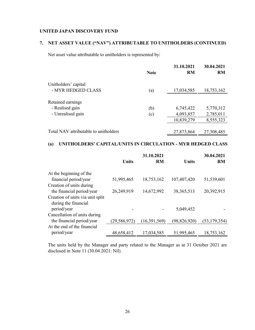## **7. NET ASSET VALUE ("NAV") ATTRIBUTABLE TO UNITHOLDERS (CONTINUED)**

Net asset value attributable to unitholders is represented by:

|                                       | <b>Note</b> | 31.10.2021<br><b>RM</b> | 30.04.2021<br><b>RM</b> |
|---------------------------------------|-------------|-------------------------|-------------------------|
| Unitholders' capital                  |             |                         |                         |
| - MYR HEDGED CLASS                    | (a)         | 17,034,585              | 18,753,162              |
| Retained earnings                     |             |                         |                         |
| - Realised gain                       | (b)         | 6,745,422               | 5,770,312               |
| - Unrealised gain                     | (c)         | 4,093,857               | 2,785,011               |
|                                       |             | 10,839,279              | 8,555,323               |
| Total NAV attributable to unitholders |             | 27,873,864              | 27,308,485              |

## **(a) UNITHOLDERS' CAPITAL/UNITS IN CIRCULATION - MYR HEDGED CLASS**

|                                                          | <b>Units</b>   | 31.10.2021<br><b>RM</b> | <b>Units</b>   | 30.04.2021<br><b>RM</b> |
|----------------------------------------------------------|----------------|-------------------------|----------------|-------------------------|
| At the beginning of the                                  |                |                         |                |                         |
| financial period/year                                    | 51,995,465     | 18,753,162              | 107,407,420    | 51,539,601              |
| Creation of units during                                 |                |                         |                |                         |
| the financial period/year                                | 26,249,919     | 14,672,992              | 38, 365, 513   | 20,392,915              |
| Creation of units via unit split<br>during the financial |                |                         |                |                         |
| period/year                                              |                |                         | 5,049,452      |                         |
| Cancellation of units during                             |                |                         |                |                         |
| the financial period/year                                | (29, 586, 972) | (16,391,569)            | (98, 826, 920) | (53, 179, 354)          |
| At the end of the financial                              |                |                         |                |                         |
| period/year                                              | 48,658,412     | 17,034,585              | 51,995,465     | 18,753,162              |

The units held by the Manager and party related to the Manager as at 31 October 2021 are disclosed in Note 11 (30.04.2021: Nil).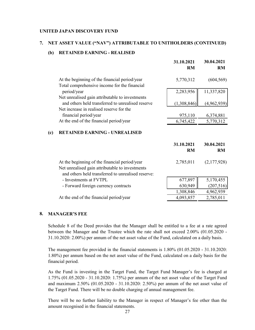#### **7. NET ASSET VALUE ("NAV") ATTRIBUTABLE TO UNITHOLDERS (CONTINUED)**

## **(b) RETAINED EARNING - REALISED**

|     |                                                                                                                                                        | 31.10.2021<br><b>RM</b> | 30.04.2021<br><b>RM</b> |
|-----|--------------------------------------------------------------------------------------------------------------------------------------------------------|-------------------------|-------------------------|
|     | At the beginning of the financial period/year                                                                                                          | 5,770,312               | (604, 569)              |
|     | Total comprehensive income for the financial<br>period/year                                                                                            | 2,283,956               | 11,337,820              |
|     | Net unrealised gain attributable to investments<br>and others held transferred to unrealised reserve                                                   | (1,308,846)             | (4,962,939)             |
|     | Net increase in realised reserve for the<br>financial period/year                                                                                      | 975,110                 | 6,374,881               |
|     | At the end of the financial period/year                                                                                                                | 6,745,422               | 5,770,312               |
| (c) | <b>RETAINED EARNING - UNREALISED</b>                                                                                                                   |                         |                         |
|     |                                                                                                                                                        | 31.10.2021<br><b>RM</b> | 30.04.2021<br><b>RM</b> |
|     | At the beginning of the financial period/year<br>Net unrealised gain attributable to investments<br>and others held transferred to unrealised reserve: | 2,785,011               | (2,177,928)             |
|     | - Investments at FVTPL                                                                                                                                 | 677,897                 | 5,170,455               |
|     | - Forward foreign currency contracts                                                                                                                   | 630,949                 | (207,516)               |
|     |                                                                                                                                                        | 1,308,846               | 4,962,939               |
|     | At the end of the financial period/year                                                                                                                | 4,093,857               | 2,785,011               |
|     |                                                                                                                                                        |                         |                         |

## **8. MANAGER'S FEE**

Schedule 8 of the Deed provides that the Manager shall be entitled to a fee at a rate agreed between the Manager and the Trustee which the rate shall not exceed 2.00% (01.05.2020 - 31.10.2020: 2.00%) per annum of the net asset value of the Fund, calculated on a daily basis.

The management fee provided in the financial statements is 1.80% (01.05.2020 - 31.10.2020: 1.80%) per annum based on the net asset value of the Fund, calculated on a daily basis for the financial period.

As the Fund is investing in the Target Fund, the Target Fund Manager's fee is charged at 1.75% (01.05.2020 - 31.10.2020: 1.75%) per annum of the net asset value of the Target Fund and maximum 2.50% (01.05.2020 - 31.10.2020: 2.50%) per annum of the net asset value of the Target Fund. There will be no double charging of annual management fee.

There will be no further liability to the Manager in respect of Manager's fee other than the amount recognised in the financial statements.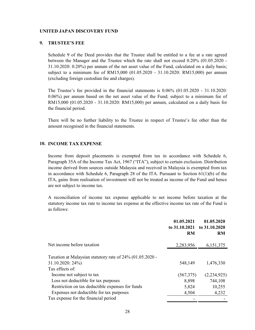#### **9. TRUSTEE'S FEE**

Schedule 9 of the Deed provides that the Trustee shall be entitled to a fee at a rate agreed between the Manager and the Trustee which the rate shall not exceed 0.20% (01.05.2020 - 31.10.2020: 0.20%) per annum of the net asset value of the Fund, calculated on a daily basis; subject to a minimum fee of RM15,000 (01.05.2020 - 31.10.2020: RM15,000) per annum (excluding foreign custodian fee and charges).

The Trustee's fee provided in the financial statements is 0.06% (01.05.2020 - 31.10.2020: 0.06%) per annum based on the net asset value of the Fund; subject to a minimum fee of RM15,000 (01.05.2020 - 31.10.2020: RM15,000) per annum, calculated on a daily basis for the financial period.

There will be no further liability to the Trustee in respect of Trustee's fee other than the amount recognised in the financial statements.

#### **10. INCOME TAX EXPENSE**

Income from deposit placements is exempted from tax in accordance with Schedule 6, Paragraph 35A of the Income Tax Act, 1967 ("ITA"), subject to certain exclusion. Distribution income derived from sources outside Malaysia and received in Malaysia is exempted from tax in accordance with Schedule 6, Paragraph 28 of the ITA. Pursuant to Section  $61(1)(b)$  of the ITA, gains from realisation of investment will not be treated as income of the Fund and hence are not subject to income tax.

A reconciliation of income tax expense applicable to net income before taxation at the statutory income tax rate to income tax expense at the effective income tax rate of the Fund is as follows:

|                                                           | 01.05.2021<br>to 31.10.2021<br><b>RM</b> | 01.05.2020<br>to 31.10.2020<br><b>RM</b> |
|-----------------------------------------------------------|------------------------------------------|------------------------------------------|
| Net income before taxation                                | 2,283,956                                | 6,151,375                                |
| Taxation at Malaysian statutory rate of 24% (01.05.2020 - |                                          |                                          |
| 31.10.2020: 24%)                                          | 548,149                                  | 1,476,330                                |
| Tax effects of:                                           |                                          |                                          |
| Income not subject to tax                                 | (567,375)                                | (2,234,925)                              |
| Loss not deductible for tax purposes                      | 8,898                                    | 744,108                                  |
| Restriction on tax deductible expenses for funds          | 5,824                                    | 10,255                                   |
| Expenses not deductible for tax purposes                  | 4,504                                    | 4,232                                    |
| Tax expense for the financial period                      |                                          |                                          |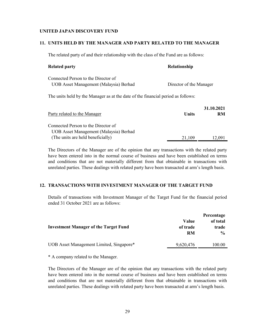#### **11. UNITS HELD BY THE MANAGER AND PARTY RELATED TO THE MANAGER**

The related party of and their relationship with the class of the Fund are as follows:

| <b>Related party</b>                                                             | Relationship            |
|----------------------------------------------------------------------------------|-------------------------|
| Connected Person to the Director of<br>UOB Asset Management (Malaysia) Berhad    | Director of the Manager |
| The units held by the Manager as at the date of the financial period as follows: |                         |
|                                                                                  | 31.10.2021              |

|              | <u>.</u> |
|--------------|----------|
| <b>Units</b> | RM       |
|              |          |
|              |          |
| 21,109       | 12.091   |
|              |          |

The Directors of the Manager are of the opinion that any transactions with the related party have been entered into in the normal course of business and have been established on terms and conditions that are not materially different from that obtainable in transactions with unrelated parties. These dealings with related party have been transacted at arm's length basis.

## **12. TRANSACTIONS WITH INVESTMENT MANAGER OF THE TARGET FUND**

Details of transactions with Investment Manager of the Target Fund for the financial period ended 31 October 2021 are as follows:

| <b>Investment Manager of the Target Fund</b> | Value<br>of trade<br>RM | Percentage<br>of total<br>trade<br>$\frac{0}{0}$ |
|----------------------------------------------|-------------------------|--------------------------------------------------|
| UOB Asset Management Limited, Singapore*     | 9,620,476               | 100.00                                           |
|                                              |                         |                                                  |

\* A company related to the Manager.

The Directors of the Manager are of the opinion that any transactions with the related party have been entered into in the normal course of business and have been established on terms and conditions that are not materially different from that obtainable in transactions with unrelated parties. These dealings with related party have been transacted at arm's length basis.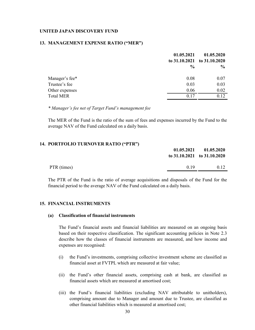#### **13. MANAGEMENT EXPENSE RATIO ("MER")**

|                  | 01.05.2021    | 01.05.2020<br>to 31.10.2021 to 31.10.2020 |
|------------------|---------------|-------------------------------------------|
|                  | $\frac{6}{9}$ | $\frac{6}{9}$                             |
| Manager's fee*   | 0.08          | 0.07                                      |
| Trustee's fee    | 0.03          | 0.03                                      |
| Other expenses   | 0.06          | 0.02                                      |
| <b>Total MER</b> | 0.17          | 0.12                                      |

*\* Manager's fee net of Target Fund's management fee*

The MER of the Fund is the ratio of the sum of fees and expenses incurred by the Fund to the average NAV of the Fund calculated on a daily basis.

### **14. PORTFOLIO TURNOVER RATIO ("PTR")**

|             | 01.05.2021<br>to $31.10.2021$ to $31.10.2020$ | 01.05.2020 |
|-------------|-----------------------------------------------|------------|
| PTR (times) | 0.19                                          | 0.12       |

The PTR of the Fund is the ratio of average acquisitions and disposals of the Fund for the financial period to the average NAV of the Fund calculated on a daily basis.

## **15. FINANCIAL INSTRUMENTS**

## **(a) Classification of financial instruments**

The Fund's financial assets and financial liabilities are measured on an ongoing basis based on their respective classification. The significant accounting policies in Note 2.3 describe how the classes of financial instruments are measured, and how income and expenses are recognised:

- (i) the Fund's investments, comprising collective investment scheme are classified as financial asset at FVTPL which are measured at fair value;
- (ii) the Fund's other financial assets, comprising cash at bank, are classified as financial assets which are measured at amortised cost;
- (iii) the Fund's financial liabilities (excluding NAV attributable to unitholders), comprising amount due to Manager and amount due to Trustee, are classified as other financial liabilities which is measured at amortised cost;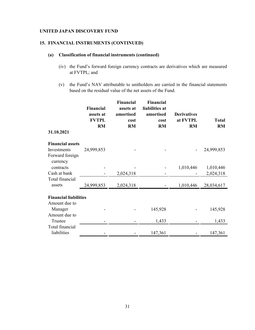## **15. FINANCIAL INSTRUMENTS (CONTINUED)**

### **(a) Classification of financial instruments (continued)**

- (iv) the Fund's forward foreign currency contracts are derivatives which are measured at FVTPL; and
- (v) the Fund's NAV attributable to unitholders are carried in the financial statements based on the residual value of the net assets of the Fund.

|                                                                       | <b>Financial</b><br>assets at<br><b>FVTPL</b><br><b>RM</b> | Financial<br>assets at<br>amortised<br>cost<br><b>RM</b> | <b>Financial</b><br>liabilities at<br>amortised<br>cost<br><b>RM</b> | <b>Derivatives</b><br>at FVTPL<br><b>RM</b> | <b>Total</b><br><b>RM</b> |
|-----------------------------------------------------------------------|------------------------------------------------------------|----------------------------------------------------------|----------------------------------------------------------------------|---------------------------------------------|---------------------------|
| 31.10.2021                                                            |                                                            |                                                          |                                                                      |                                             |                           |
| <b>Financial assets</b><br>Investments<br>Forward foreign<br>currency | 24,999,853                                                 |                                                          |                                                                      |                                             | 24,999,853                |
| contracts<br>Cash at bank                                             |                                                            | 2,024,318                                                |                                                                      | 1,010,446                                   | 1,010,446<br>2,024,318    |
| Total financial<br>assets                                             | 24,999,853                                                 | 2,024,318                                                |                                                                      | 1,010,446                                   | 28,034,617                |
| <b>Financial liabilities</b><br>Amount due to                         |                                                            |                                                          |                                                                      |                                             |                           |
| Manager<br>Amount due to                                              |                                                            |                                                          | 145,928                                                              |                                             | 145,928                   |
| Trustee                                                               |                                                            |                                                          | 1,433                                                                |                                             | 1,433                     |
| Total financial<br>liabilities                                        |                                                            |                                                          | 147,361                                                              |                                             | 147,361                   |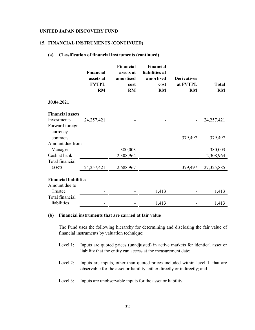#### **15. FINANCIAL INSTRUMENTS (CONTINUED)**

#### **(a) Classification of financial instruments (continued)**

|                                | <b>Financial</b><br>assets at<br><b>FVTPL</b><br><b>RM</b> | <b>Financial</b><br>assets at<br>amortised<br>cost<br><b>RM</b> | <b>Financial</b><br>liabilities at<br>amortised<br>cost<br><b>RM</b> | <b>Derivatives</b><br>at FVTPL<br><b>RM</b> | <b>Total</b><br><b>RM</b> |
|--------------------------------|------------------------------------------------------------|-----------------------------------------------------------------|----------------------------------------------------------------------|---------------------------------------------|---------------------------|
| 30.04.2021                     |                                                            |                                                                 |                                                                      |                                             |                           |
| <b>Financial assets</b>        |                                                            |                                                                 |                                                                      |                                             |                           |
| Investments                    | 24,257,421                                                 |                                                                 |                                                                      |                                             | 24, 257, 421              |
| Forward foreign<br>currency    |                                                            |                                                                 |                                                                      |                                             |                           |
| contracts                      |                                                            |                                                                 |                                                                      | 379,497                                     | 379,497                   |
| Amount due from                |                                                            |                                                                 |                                                                      |                                             |                           |
| Manager                        |                                                            | 380,003                                                         |                                                                      |                                             | 380,003                   |
| Cash at bank                   |                                                            | 2,308,964                                                       |                                                                      |                                             | 2,308,964                 |
| Total financial                |                                                            |                                                                 |                                                                      |                                             |                           |
| assets                         | 24,257,421                                                 | 2,688,967                                                       |                                                                      | 379,497                                     | 27,325,885                |
| <b>Financial liabilities</b>   |                                                            |                                                                 |                                                                      |                                             |                           |
| Amount due to                  |                                                            |                                                                 |                                                                      |                                             |                           |
| Trustee                        |                                                            |                                                                 | 1,413                                                                |                                             | 1,413                     |
| Total financial<br>liabilities |                                                            |                                                                 | 1,413                                                                |                                             | 1,413                     |

## **(b) Financial instruments that are carried at fair value**

The Fund uses the following hierarchy for determining and disclosing the fair value of financial instruments by valuation technique:

- Level 1: Inputs are quoted prices (unadjusted) in active markets for identical asset or liability that the entity can access at the measurement date;
- Level 2: Inputs are inputs, other than quoted prices included within level 1, that are observable for the asset or liability, either directly or indirectly; and
- Level 3: Inputs are unobservable inputs for the asset or liability.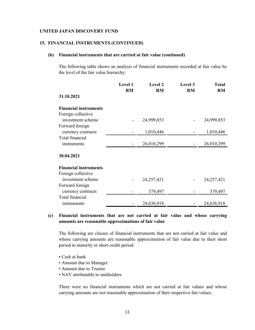#### **15. FINANCIAL INSTRUMENTS (CONTINUED)**

### **(b) Financial instruments that are carried at fair value (continued)**

The following table shows an analysis of financial instruments recorded at fair value by the level of the fair value hierarchy:

|                              | Level 1<br><b>RM</b> | <b>Level 2</b><br><b>RM</b> | <b>Level 3</b><br><b>RM</b> | Total<br><b>RM</b> |
|------------------------------|----------------------|-----------------------------|-----------------------------|--------------------|
| 31.10.2021                   |                      |                             |                             |                    |
| <b>Financial instruments</b> |                      |                             |                             |                    |
| Foreign collective           |                      |                             |                             |                    |
| investment scheme            |                      | 24,999,853                  |                             | 24,999,853         |
| Forward foreign              |                      |                             |                             |                    |
| currency contracts           |                      | 1,010,446                   |                             | 1,010,446          |
| Total financial              |                      |                             |                             |                    |
| instruments                  |                      | 26,010,299                  |                             | 26,010,299         |
| 30.04.2021                   |                      |                             |                             |                    |
| <b>Financial instruments</b> |                      |                             |                             |                    |
| Foreign collective           |                      |                             |                             |                    |
| investment scheme            |                      | 24,257,421                  |                             | 24,257,421         |
| Forward foreign              |                      |                             |                             |                    |
| currency contracts           |                      | 379,497                     |                             | 379,497            |
| Total financial              |                      |                             |                             |                    |
| instruments                  |                      | 24,636,918                  |                             | 24,636,918         |

## **(c) Financial instruments that are not carried at fair value and whose carrying amounts are reasonable approximations of fair value**

The following are classes of financial instruments that are not carried at fair value and whose carrying amounts are reasonable approximation of fair value due to their short period to maturity or short credit period:

- Cash at bank
- Amount due to Manager
- Amount due to Trustee
- NAV attributable to unitholders

There were no financial instruments which are not carried at fair values and whose carrying amounts are not reasonable approximation of their respective fair values.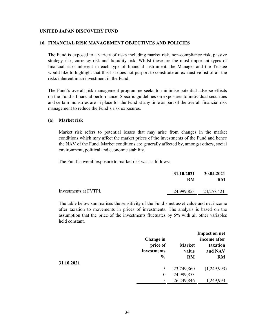#### **16. FINANCIAL RISK MANAGEMENT OBJECTIVES AND POLICIES**

The Fund is exposed to a variety of risks including market risk, non-compliance risk, passive strategy risk, currency risk and liquidity risk. Whilst these are the most important types of financial risks inherent in each type of financial instrument, the Manager and the Trustee would like to highlight that this list does not purport to constitute an exhaustive list of all the risks inherent in an investment in the Fund.

The Fund's overall risk management programme seeks to minimise potential adverse effects on the Fund's financial performance. Specific guidelines on exposures to individual securities and certain industries are in place for the Fund at any time as part of the overall financial risk management to reduce the Fund's risk exposures.

#### **(a) Market risk**

Market risk refers to potential losses that may arise from changes in the market conditions which may affect the market prices of the investments of the Fund and hence the NAV of the Fund. Market conditions are generally affected by, amongst others, social environment, political and economic stability.

The Fund's overall exposure to market risk was as follows:

|                      | 31.10.2021            |    | 30.04.2021 |
|----------------------|-----------------------|----|------------|
|                      | RM                    | RM |            |
| Investments at FVTPL | 24,999,853 24,257,421 |    |            |

The table below summarises the sensitivity of the Fund's net asset value and net income after taxation to movements in prices of investments. The analysis is based on the assumption that the price of the investments fluctuates by 5% with all other variables held constant.

|            | Change in               |                        | Impact on net<br>income after |
|------------|-------------------------|------------------------|-------------------------------|
|            | price of<br>investments | <b>Market</b><br>value | taxation<br>and NAV           |
| 31.10.2021 | $\frac{6}{9}$           | <b>RM</b>              | <b>RM</b>                     |
|            | $-5$                    | 23,749,860             | (1,249,993)                   |
|            | $\boldsymbol{0}$        | 24,999,853             |                               |
|            | 5                       | 26,249,846             | 1,249,993                     |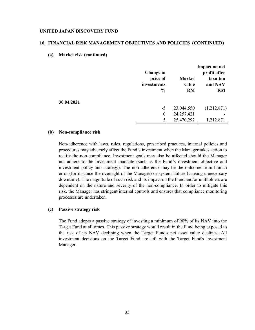### **16. FINANCIAL RISK MANAGEMENT OBJECTIVES AND POLICIES (CONTINUED)**

#### **(a) Market risk (continued)**

|            |               |               | <b>Impact on net</b> |
|------------|---------------|---------------|----------------------|
|            | Change in     |               | profit after         |
|            | price of      | <b>Market</b> | taxation             |
|            | investments   | value         | and NAV              |
|            | $\frac{0}{0}$ | <b>RM</b>     | <b>RM</b>            |
| 30.04.2021 |               |               |                      |
|            | $-5$          | 23,044,550    | (1,212,871)          |
|            | $\theta$      | 24,257,421    |                      |
|            | 5             | 25,470,292    | 1,212,871            |

#### **(b) Non-compliance risk**

Non-adherence with laws, rules, regulations, prescribed practices, internal policies and procedures may adversely affect the Fund's investment when the Manager takes action to rectify the non-compliance. Investment goals may also be affected should the Manager not adhere to the investment mandate (such as the Fund's investment objective and investment policy and strategy). The non-adherence may be the outcome from human error (for instance the oversight of the Manager) or system failure (causing unnecessary downtime). The magnitude of such risk and its impact on the Fund and/or unitholders are dependent on the nature and severity of the non-compliance. In order to mitigate this risk, the Manager has stringent internal controls and ensures that compliance monitoring processes are undertaken.

## **(c) Passive strategy risk**

The Fund adopts a passive strategy of investing a minimum of 90% of its NAV into the Target Fund at all times. This passive strategy would result in the Fund being exposed to the risk of its NAV declining when the Target Fund's net asset value declines. All investment decisions on the Target Fund are left with the Target Fund's Investment Manager.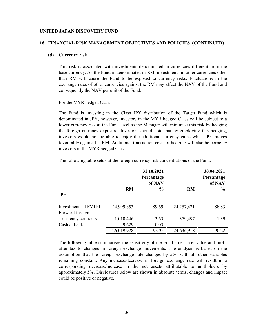#### **16. FINANCIAL RISK MANAGEMENT OBJECTIVES AND POLICIES (CONTINUED)**

### **(d) Currency risk**

This risk is associated with investments denominated in currencies different from the base currency. As the Fund is denominated in RM, investments in other currencies other than RM will cause the Fund to be exposed to currency risks. Fluctuations in the exchange rates of other currencies against the RM may affect the NAV of the Fund and consequently the NAV per unit of the Fund.

#### For the MYR hedged Class

The Fund is investing in the Class JPY distribution of the Target Fund which is denominated in JPY, however, investors in the MYR hedged Class will be subject to a lower currency risk at the Fund level as the Manager will minimise this risk by hedging the foreign currency exposure. Investors should note that by employing this hedging, investors would not be able to enjoy the additional currency gains when JPY moves favourably against the RM. Additional transaction costs of hedging will also be borne by investors in the MYR hedged Class.

The following table sets out the foreign currency risk concentrations of the Fund.

|                                         |            | 31.10.2021<br>Percantage<br>of NAV |              | 30.04.2021<br>Percantage<br>of NAV |
|-----------------------------------------|------------|------------------------------------|--------------|------------------------------------|
| <b>JPY</b>                              | <b>RM</b>  | $\frac{0}{0}$                      | RM           | $\frac{0}{0}$                      |
| Investments at FVTPL<br>Forward foreign | 24,999,853 | 89.69                              | 24, 257, 421 | 88.83                              |
| currency contracts                      | 1,010,446  | 3.63                               | 379,497      | 1.39                               |
| Cash at bank                            | 9,629      | 0.03                               |              |                                    |
|                                         | 26,019,928 | 93.35                              | 24,636,918   | 90.22                              |

The following table summarises the sensitivity of the Fund's net asset value and profit after tax to changes in foreign exchange movements. The analysis is based on the assumption that the foreign exchange rate changes by 5%, with all other variables remaining constant. Any increase/decrease in foreign exchange rate will result in a corresponding decrease/increase in the net assets attributable to unitholders by approximately 5%. Disclosures below are shown in absolute terms, changes and impact could be positive or negative.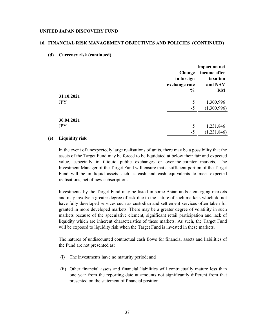#### **16. FINANCIAL RISK MANAGEMENT OBJECTIVES AND POLICIES (CONTINUED)**

**(d) Currency risk (continued)**

|                          | Change<br>in foreign<br>exchange rate | <b>Impact on net</b><br>income after<br>taxation<br>and NAV |
|--------------------------|---------------------------------------|-------------------------------------------------------------|
| 31.10.2021<br><b>JPY</b> | $\frac{0}{0}$<br>$+5$                 | <b>RM</b><br>1,300,996                                      |
| 30.04.2021<br><b>JPY</b> | $-5$<br>$+5$<br>$-5$                  | (1,300,996)<br>1,231,846<br>(1,231,846)                     |
|                          |                                       |                                                             |

## **(e) Liquidity risk**

In the event of unexpectedly large realisations of units, there may be a possibility that the assets of the Target Fund may be forced to be liquidated at below their fair and expected value, especially in illiquid public exchanges or over-the-counter markets. The Investment Manager of the Target Fund will ensure that a sufficient portion of the Target Fund will be in liquid assets such as cash and cash equivalents to meet expected realisations, net of new subscriptions.

Investments by the Target Fund may be listed in some Asian and/or emerging markets and may involve a greater degree of risk due to the nature of such markets which do not have fully developed services such as custodian and settlement services often taken for granted in more developed markets. There may be a greater degree of volatility in such markets because of the speculative element, significant retail participation and lack of liquidity which are inherent characteristics of these markets. As such, the Target Fund will be exposed to liquidity risk when the Target Fund is invested in these markets.

The natures of undiscounted contractual cash flows for financial assets and liabilities of the Fund are not presented as:

- (i) The investments have no maturity period; and
- (ii) Other financial assets and financial liabilities will contractually mature less than one year from the reporting date at amounts not significantly different from that presented on the statement of financial position.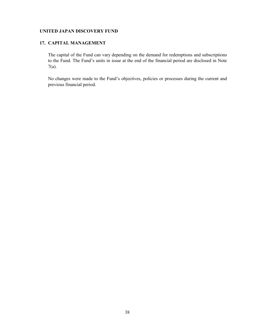## **17. CAPITAL MANAGEMENT**

The capital of the Fund can vary depending on the demand for redemptions and subscriptions to the Fund. The Fund's units in issue at the end of the financial period are disclosed in Note 7(a).

No changes were made to the Fund's objectives, policies or processes during the current and previous financial period.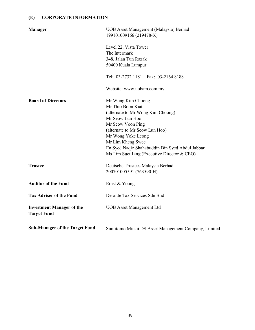# **(E) CORPORATE INFORMATION**

| <b>Manager</b>                                         | UOB Asset Management (Malaysia) Berhad<br>199101009166 (219478-X)                                                                                                                                                                                                                                   |
|--------------------------------------------------------|-----------------------------------------------------------------------------------------------------------------------------------------------------------------------------------------------------------------------------------------------------------------------------------------------------|
|                                                        | Level 22, Vista Tower<br>The Intermark<br>348, Jalan Tun Razak<br>50400 Kuala Lumpur                                                                                                                                                                                                                |
|                                                        | Tel: 03-2732 1181 Fax: 03-2164 8188                                                                                                                                                                                                                                                                 |
|                                                        | Website: www.uobam.com.my                                                                                                                                                                                                                                                                           |
| <b>Board of Directors</b>                              | Mr Wong Kim Choong<br>Mr Thio Boon Kiat<br>(alternate to Mr Wong Kim Choong)<br>Mr Seow Lun Hoo<br>Mr Seow Voon Ping<br>(alternate to Mr Seow Lun Hoo)<br>Mr Wong Yoke Leong<br>Mr Lim Kheng Swee<br>En Syed Naqiz Shahabuddin Bin Syed Abdul Jabbar<br>Ms Lim Suet Ling (Executive Director & CEO) |
| <b>Trustee</b>                                         | Deutsche Trustees Malaysia Berhad<br>200701005591 (763590-H)                                                                                                                                                                                                                                        |
| <b>Auditor of the Fund</b>                             | Ernst & Young                                                                                                                                                                                                                                                                                       |
| <b>Tax Adviser of the Fund</b>                         | Deloitte Tax Services Sdn Bhd                                                                                                                                                                                                                                                                       |
| <b>Investment Manager of the</b><br><b>Target Fund</b> | <b>UOB</b> Asset Management Ltd                                                                                                                                                                                                                                                                     |
| <b>Sub-Manager of the Target Fund</b>                  | Sumitomo Mitsui DS Asset Management Company, Limited                                                                                                                                                                                                                                                |